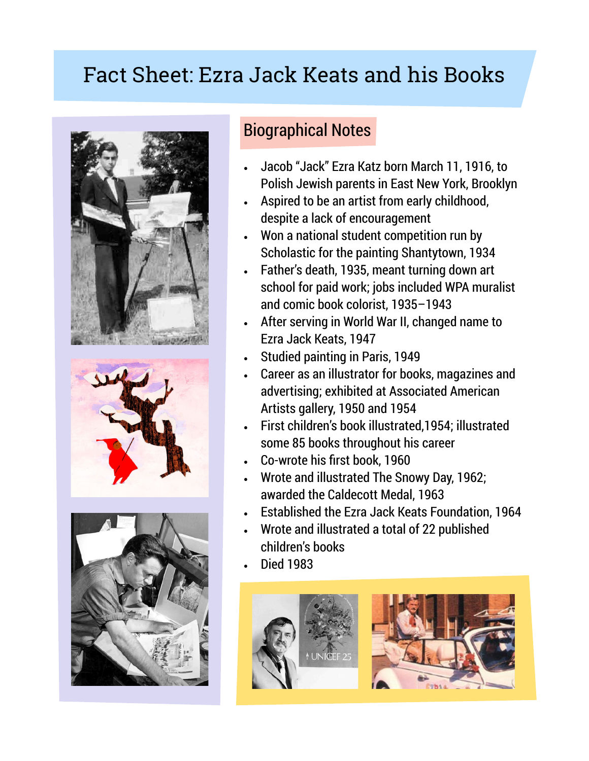# Fact Sheet: Ezra Jack Keats and his Books







### Biographical Notes

- Jacob "Jack" Ezra Katz born March 11, 1916, to Polish Jewish parents in East New York, Brooklyn
- Aspired to be an artist from early childhood, despite a lack of encouragement
- Won a national student competition run by Scholastic for the painting Shantytown, 1934
- Father's death, 1935, meant turning down art school for paid work; jobs included WPA muralist and comic book colorist, 1935–1943
- After serving in World War II, changed name to Ezra Jack Keats, 1947
- Studied painting in Paris, 1949
- Career as an illustrator for books, magazines and advertising; exhibited at Associated American Artists gallery, 1950 and 1954
- First children's book illustrated,1954; illustrated some 85 books throughout his career
- Co-wrote his first book, 1960
- Wrote and illustrated The Snowy Day, 1962; awarded the Caldecott Medal, 1963
- Established the Ezra Jack Keats Foundation, 1964
- Wrote and illustrated a total of 22 published children's books
- Died 1983

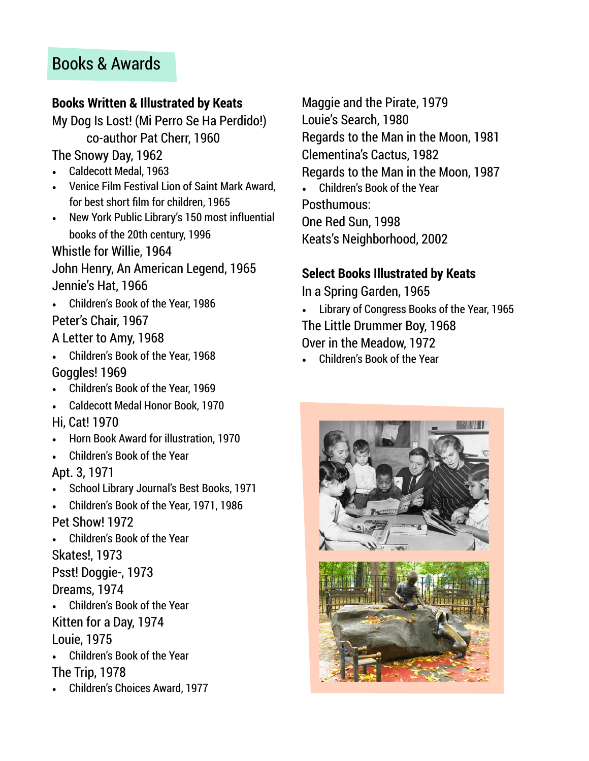### Books & Awards

#### **Books Written & Illustrated by Keats**

My Dog Is Lost! (Mi Perro Se Ha Perdido!) co-author Pat Cherr, 1960

The Snowy Day, 1962

- Caldecott Medal, 1963
- Venice Film Festival Lion of Saint Mark Award, for best short film for children, 1965
- New York Public Library's 150 most influential books of the 20th century, 1996

Whistle for Willie, 1964 John Henry, An American Legend, 1965 Jennie's Hat, 1966

- Children's Book of the Year, 1986 Peter's Chair, 1967
- A Letter to Amy, 1968
- Children's Book of the Year, 1968 Goggles! 1969
- Children's Book of the Year, 1969
- Caldecott Medal Honor Book, 1970
- Hi, Cat! 1970
- Horn Book Award for illustration, 1970
- Children's Book of the Year

Apt. 3, 1971

- School Library Journal's Best Books, 1971
- Children's Book of the Year, 1971, 1986 Pet Show! 1972
- Children's Book of the Year

Skates!, 1973

Psst! Doggie-, 1973

Dreams, 1974

- Children's Book of the Year Kitten for a Day, 1974 Louie, 1975
- Children's Book of the Year The Trip, 1978
- Children's Choices Award, 1977

Maggie and the Pirate, 1979 Louie's Search, 1980 Regards to the Man in the Moon, 1981 Clementina's Cactus, 1982 Regards to the Man in the Moon, 1987 • Children's Book of the Year Posthumous: One Red Sun, 1998 Keats's Neighborhood, 2002

#### **Select Books Illustrated by Keats**

In a Spring Garden, 1965

• Library of Congress Books of the Year, 1965 The Little Drummer Boy, 1968 Over in the Meadow, 1972

• Children's Book of the Year